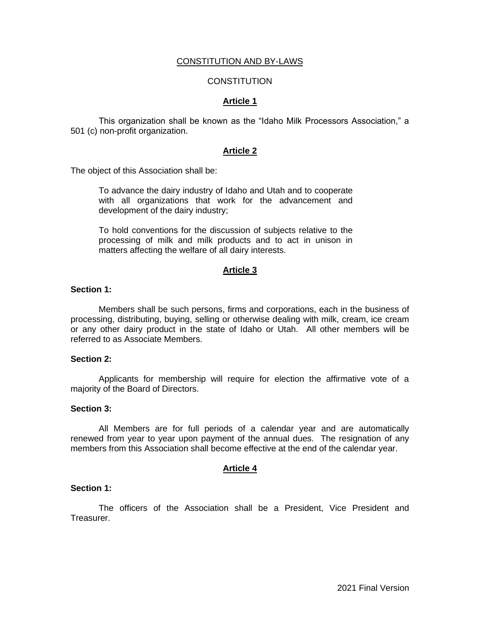## CONSTITUTION AND BY-LAWS

## **CONSTITUTION**

## **Article 1**

This organization shall be known as the "Idaho Milk Processors Association," a 501 (c) non-profit organization.

## **Article 2**

The object of this Association shall be:

To advance the dairy industry of Idaho and Utah and to cooperate with all organizations that work for the advancement and development of the dairy industry;

To hold conventions for the discussion of subjects relative to the processing of milk and milk products and to act in unison in matters affecting the welfare of all dairy interests.

## **Article 3**

### **Section 1:**

Members shall be such persons, firms and corporations, each in the business of processing, distributing, buying, selling or otherwise dealing with milk, cream, ice cream or any other dairy product in the state of Idaho or Utah. All other members will be referred to as Associate Members.

### **Section 2:**

Applicants for membership will require for election the affirmative vote of a majority of the Board of Directors.

### **Section 3:**

All Members are for full periods of a calendar year and are automatically renewed from year to year upon payment of the annual dues. The resignation of any members from this Association shall become effective at the end of the calendar year.

## **Article 4**

### **Section 1:**

The officers of the Association shall be a President, Vice President and Treasurer.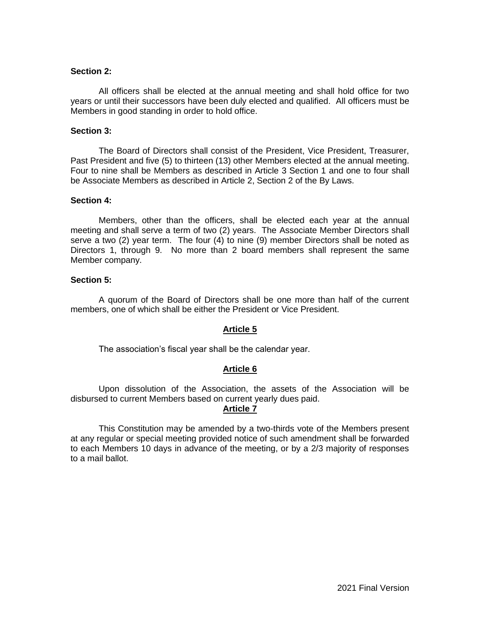## **Section 2:**

All officers shall be elected at the annual meeting and shall hold office for two years or until their successors have been duly elected and qualified. All officers must be Members in good standing in order to hold office.

### **Section 3:**

The Board of Directors shall consist of the President, Vice President, Treasurer, Past President and five (5) to thirteen (13) other Members elected at the annual meeting. Four to nine shall be Members as described in Article 3 Section 1 and one to four shall be Associate Members as described in Article 2, Section 2 of the By Laws.

### **Section 4:**

Members, other than the officers, shall be elected each year at the annual meeting and shall serve a term of two (2) years. The Associate Member Directors shall serve a two (2) year term. The four (4) to nine (9) member Directors shall be noted as Directors 1, through 9. No more than 2 board members shall represent the same Member company.

### **Section 5:**

A quorum of the Board of Directors shall be one more than half of the current members, one of which shall be either the President or Vice President.

## **Article 5**

The association's fiscal year shall be the calendar year.

## **Article 6**

Upon dissolution of the Association, the assets of the Association will be disbursed to current Members based on current yearly dues paid.

# **Article 7**

This Constitution may be amended by a two-thirds vote of the Members present at any regular or special meeting provided notice of such amendment shall be forwarded to each Members 10 days in advance of the meeting, or by a 2/3 majority of responses to a mail ballot.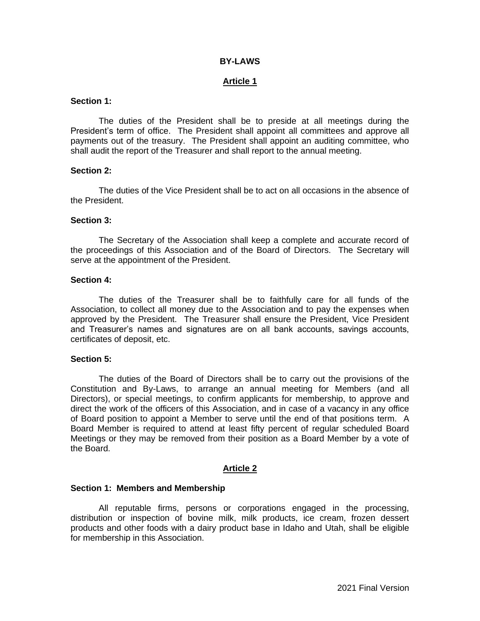## **BY-LAWS**

## **Article 1**

## **Section 1:**

The duties of the President shall be to preside at all meetings during the President's term of office. The President shall appoint all committees and approve all payments out of the treasury. The President shall appoint an auditing committee, who shall audit the report of the Treasurer and shall report to the annual meeting.

### **Section 2:**

The duties of the Vice President shall be to act on all occasions in the absence of the President.

## **Section 3:**

The Secretary of the Association shall keep a complete and accurate record of the proceedings of this Association and of the Board of Directors. The Secretary will serve at the appointment of the President.

### **Section 4:**

The duties of the Treasurer shall be to faithfully care for all funds of the Association, to collect all money due to the Association and to pay the expenses when approved by the President. The Treasurer shall ensure the President, Vice President and Treasurer's names and signatures are on all bank accounts, savings accounts, certificates of deposit, etc.

### **Section 5:**

The duties of the Board of Directors shall be to carry out the provisions of the Constitution and By-Laws, to arrange an annual meeting for Members (and all Directors), or special meetings, to confirm applicants for membership, to approve and direct the work of the officers of this Association, and in case of a vacancy in any office of Board position to appoint a Member to serve until the end of that positions term. A Board Member is required to attend at least fifty percent of regular scheduled Board Meetings or they may be removed from their position as a Board Member by a vote of the Board.

## **Article 2**

### **Section 1: Members and Membership**

All reputable firms, persons or corporations engaged in the processing, distribution or inspection of bovine milk, milk products, ice cream, frozen dessert products and other foods with a dairy product base in Idaho and Utah, shall be eligible for membership in this Association.